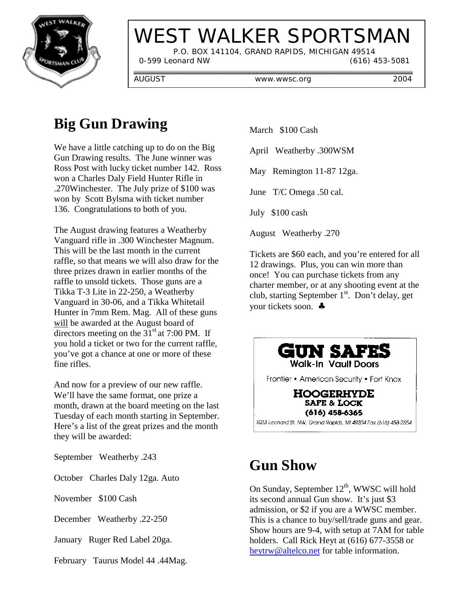

# WEST WALKER SPORTSMAN

P.O. BOX 141104, GRAND RAPIDS, MICHIGAN 49514

0-599 Leonard NW (616) 453-5081

AUGUST www.wwsc.org 2004

# **Big Gun Drawing**

We have a little catching up to do on the Big Gun Drawing results. The June winner was Ross Post with lucky ticket number 142. Ross won a Charles Daly Field Hunter Rifle in .270Winchester. The July prize of \$100 was won by Scott Bylsma with ticket number 136. Congratulations to both of you.

The August drawing features a Weatherby Vanguard rifle in .300 Winchester Magnum. This will be the last month in the current raffle, so that means we will also draw for the three prizes drawn in earlier months of the raffle to unsold tickets. Those guns are a Tikka T-3 Lite in 22-250, a Weatherby Vanguard in 30-06, and a Tikka Whitetail Hunter in 7mm Rem. Mag. All of these guns will be awarded at the August board of directors meeting on the  $31<sup>st</sup>$  at 7:00 PM. If you hold a ticket or two for the current raffle, you've got a chance at one or more of these fine rifles.

And now for a preview of our new raffle. We'll have the same format, one prize a month, drawn at the board meeting on the last Tuesday of each month starting in September. Here's a list of the great prizes and the month they will be awarded:

September Weatherby .243

October Charles Daly 12ga. Auto

November \$100 Cash

December Weatherby .22-250

January Ruger Red Label 20ga.

February Taurus Model 44 .44Mag.

March \$100 Cash

April Weatherby .300WSM

May Remington 11-87 12ga.

June T/C Omega .50 cal.

July \$100 cash

August Weatherby .270

Tickets are \$60 each, and you're entered for all 12 drawings. Plus, you can win more than once! You can purchase tickets from any charter member, or at any shooting event at the club, starting September  $1<sup>st</sup>$ . Don't delay, get your tickets soon. ♣



# **Gun Show**

On Sunday, September  $12^{th}$ , WWSC will hold its second annual Gun show. It's just \$3 admission, or \$2 if you are a WWSC member. This is a chance to buy/sell/trade guns and gear. Show hours are 9-4, with setup at 7AM for table holders. Call Rick Heyt at (616) 677-3558 or heytrw@altelco.net for table information.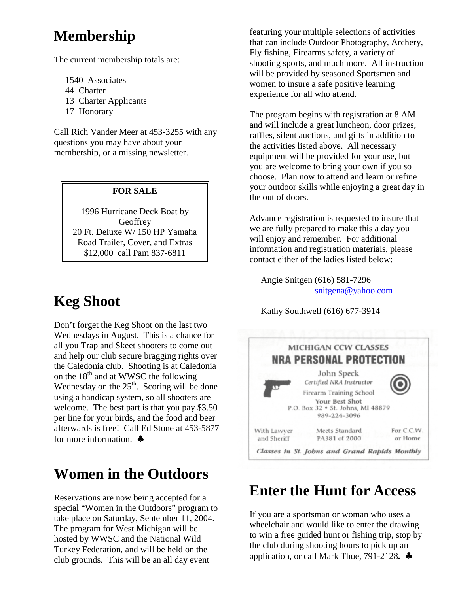### **Membership**

The current membership totals are:

- 1540 Associates
- 44 Charter
- 13 Charter Applicants
- 17 Honorary

Call Rich Vander Meer at 453-3255 with any questions you may have about your membership, or a missing newsletter.

#### **FOR SALE**

1996 Hurricane Deck Boat by **Geoffrey** 20 Ft. Deluxe W/ 150 HP Yamaha Road Trailer, Cover, and Extras \$12,000 call Pam 837-6811

### **Keg Shoot**

Don't forget the Keg Shoot on the last two Wednesdays in August. This is a chance for all you Trap and Skeet shooters to come out and help our club secure bragging rights over the Caledonia club. Shooting is at Caledonia on the 18<sup>th</sup> and at WWSC the following Wednesday on the  $25<sup>th</sup>$ . Scoring will be done using a handicap system, so all shooters are welcome. The best part is that you pay \$3.50 per line for your birds, and the food and beer afterwards is free! Call Ed Stone at 453-5877 for more information.  $\clubsuit$ 

### **Women in the Outdoors**

Reservations are now being accepted for a special "Women in the Outdoors" program to take place on Saturday, September 11, 2004. The program for West Michigan will be hosted by WWSC and the National Wild Turkey Federation, and will be held on the club grounds. This will be an all day event

featuring your multiple selections of activities that can include Outdoor Photography, Archery, Fly fishing, Firearms safety, a variety of shooting sports, and much more. All instruction will be provided by seasoned Sportsmen and women to insure a safe positive learning experience for all who attend.

The program begins with registration at 8 AM and will include a great luncheon, door prizes, raffles, silent auctions, and gifts in addition to the activities listed above. All necessary equipment will be provided for your use, but you are welcome to bring your own if you so choose. Plan now to attend and learn or refine your outdoor skills while enjoying a great day in the out of doors.

Advance registration is requested to insure that we are fully prepared to make this a day you will enjoy and remember. For additional information and registration materials, please contact either of the ladies listed below:

 Angie Snitgen (616) 581-7296 snitgena@yahoo.com

Kathy Southwell (616) 677-3914



### **Enter the Hunt for Access**

If you are a sportsman or woman who uses a wheelchair and would like to enter the drawing to win a free guided hunt or fishing trip, stop by the club during shooting hours to pick up an application, or call Mark Thue, 791-2128**.** ♣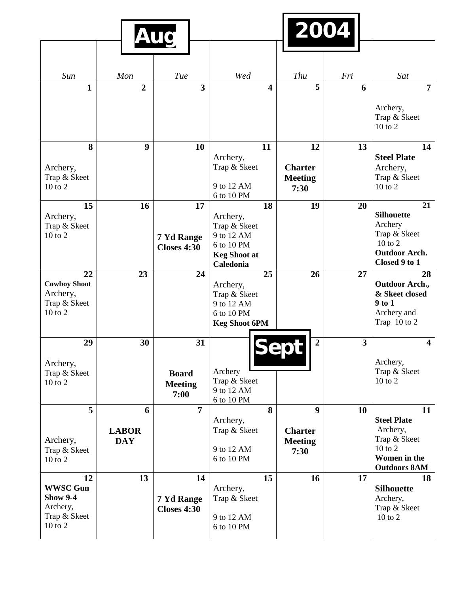|                                                                                 |                            |                                        |                                                                                    | 2004                                     |     |                                                                                                |
|---------------------------------------------------------------------------------|----------------------------|----------------------------------------|------------------------------------------------------------------------------------|------------------------------------------|-----|------------------------------------------------------------------------------------------------|
|                                                                                 |                            |                                        |                                                                                    |                                          |     |                                                                                                |
| Sun                                                                             | Mon                        | Tue                                    | Wed                                                                                | Thu                                      | Fri | Sat                                                                                            |
| 1                                                                               | $\overline{2}$             | $\overline{\mathbf{3}}$                | $\overline{\mathbf{4}}$                                                            | 5                                        | 6   | 7                                                                                              |
|                                                                                 |                            |                                        |                                                                                    |                                          |     | Archery,<br>Trap & Skeet<br>$10$ to $2$                                                        |
| 8                                                                               | 9                          | 10                                     | 11<br>Archery,                                                                     | 12                                       | 13  | 14<br><b>Steel Plate</b>                                                                       |
| Archery,<br>Trap & Skeet<br>10 to 2                                             |                            |                                        | Trap & Skeet<br>9 to 12 AM<br>6 to 10 PM                                           | <b>Charter</b><br><b>Meeting</b><br>7:30 |     | Archery,<br>Trap & Skeet<br>$10$ to $2$                                                        |
| 15<br>Archery,                                                                  | 16                         | 17                                     | 18<br>Archery,                                                                     | 19                                       | 20  | 21<br><b>Silhouette</b>                                                                        |
| Trap & Skeet<br>$10$ to $2$                                                     |                            | 7 Yd Range<br><b>Closes 4:30</b>       | Trap & Skeet<br>9 to 12 AM<br>6 to 10 PM                                           |                                          |     | Archery<br>Trap & Skeet<br>$10$ to $2$                                                         |
|                                                                                 |                            |                                        | <b>Keg Shoot at</b><br>Caledonia                                                   |                                          |     | <b>Outdoor Arch.</b><br>Closed 9 to 1                                                          |
| 22<br><b>Cowboy Shoot</b><br>Archery,<br>Trap & Skeet<br>10 to 2                | 23                         | 24                                     | 25<br>Archery,<br>Trap & Skeet<br>9 to 12 AM<br>6 to 10 PM<br><b>Keg Shoot 6PM</b> | 26                                       | 27  | 28<br><b>Outdoor Arch.,</b><br>& Skeet closed<br>$9$ to $1$<br>Archery and<br>Trap $10$ to $2$ |
| 29<br>Archery,                                                                  | 30                         | 31                                     |                                                                                    | $\overline{2}$                           | 3   | 4<br>Archery,                                                                                  |
| Trap & Skeet<br>10 to 2                                                         |                            | <b>Board</b><br><b>Meeting</b><br>7:00 | Archery<br>Trap & Skeet<br>9 to 12 AM<br>6 to 10 PM                                |                                          |     | Trap & Skeet<br>$10$ to $2\,$                                                                  |
| 5                                                                               | 6                          | $\overline{7}$                         | 8<br>Archery,                                                                      | $\boldsymbol{9}$                         | 10  | 11<br><b>Steel Plate</b>                                                                       |
| Archery,<br>Trap & Skeet<br>10 to 2                                             | <b>LABOR</b><br><b>DAY</b> |                                        | Trap & Skeet<br>9 to 12 AM<br>6 to 10 PM                                           | <b>Charter</b><br><b>Meeting</b><br>7:30 |     | Archery,<br>Trap & Skeet<br>$10$ to $2$<br>Women in the<br><b>Outdoors 8AM</b>                 |
| 12<br><b>WWSC Gun</b><br><b>Show 9-4</b><br>Archery,<br>Trap & Skeet<br>10 to 2 | 13                         | 14<br>7 Yd Range<br><b>Closes 4:30</b> | 15<br>Archery,<br>Trap & Skeet<br>9 to 12 AM<br>6 to 10 PM                         | 16                                       | 17  | 18<br><b>Silhouette</b><br>Archery,<br>Trap & Skeet<br>$10$ to $2$                             |